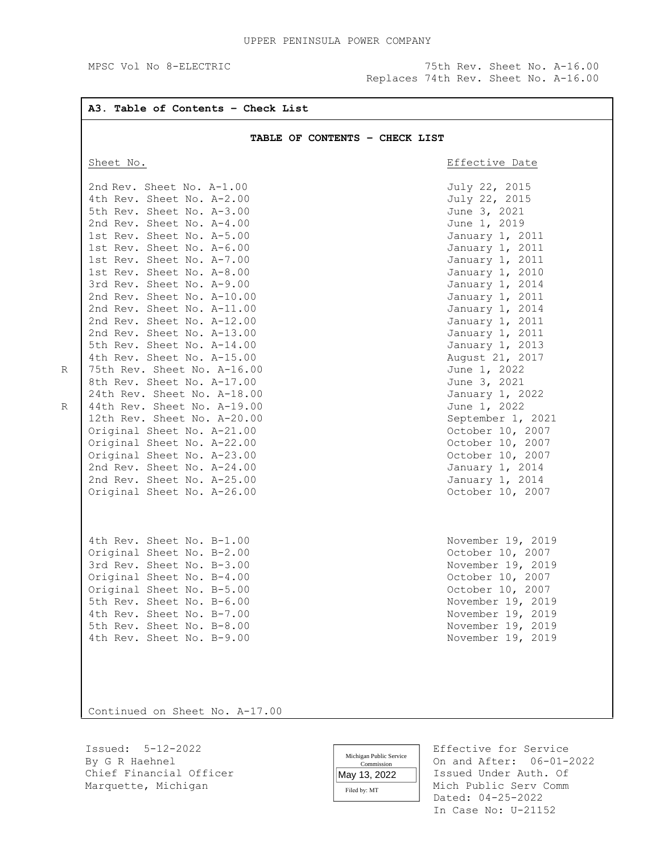Replaces 74th Rev. Sheet No. A-16.00

## UPPER PENINSULA POWER COMPANY MPSC Vol No 8-ELECTRIC 75th Rev. Sheet No. A-16.00 **A3. Table of Contents – Check List TABLE OF CONTENTS – CHECK LIST**  Sheet No. **Example 2018** Sheet No. 2nd Rev. Sheet No. A-1.00 July 22, 2015 4th Rev. Sheet No. A-2.00 July 22, 2015 5th Rev. Sheet No. A-3.00 June 3, 2021 2nd Rev. Sheet No. A-4.00 June 1, 2019 1st Rev. Sheet No. A-5.00 January 1, 2011 1st Rev. Sheet No. A-6.00 January 1, 2011 1st Rev. Sheet No. A-7.00<br>1st Rev. Sheet No. A-8.00<br>1st Rev. Sheet No. A-8.00 1st Rev. Sheet No. A-8.00<br>
3rd Rev. Sheet No. A-9.00<br>
3rd Rev. Sheet No. A-9.00 3rd Rev. Sheet No. A-9.00 2nd Rev. Sheet No. A-10.00 3anuary 1, 2011 2nd Rev. Sheet No. A-11.00 January 1, 2014 2nd Rev. Sheet No. A-12.00 January 1, 2011 2nd Rev. Sheet No. A-13.00 January 1, 2011 5th Rev. Sheet No. A-14.00 January 1, 2013 4th Rev. Sheet No. A-15.00 75th Rev. Sheet No. A-16.00 June 1, 2022 8th Rev. Sheet No. A-17.00 June 3, 2021 24th Rev. Sheet No. A-18.00 January 1, 2022 44th Rev. Sheet No. A-19.00<br>12th Rev. Sheet No. A-20.00 <br>September 1, 2021 12th Rev. Sheet No.  $A-20.00$ Original Sheet No. A-21.00<br>
Original Sheet No. A-22.00<br>
October 10, 2007 Original Sheet No. A-22.00 Original Sheet No. A-23.00 October 10, 2007 2nd Rev. Sheet No. A-24.00 January 1, 2014 2nd Rev. Sheet No. A-25.00 January 1, 2014 Original Sheet No. A-26.00 October 10, 2007 4th Rev. Sheet No. B-1.00 November 19, 2019 Original Sheet No. B-2.00 October 10, 2007 3rd Rev. Sheet No. B-3.00<br>
Original Sheet No. B-4.00<br>
October 10, 2007 Original Sheet No. B-4.00 Original Sheet No. B-5.00<br>
5th Rev. Sheet No. B-6.00<br>
Sth Rev. Sheet No. B-6.00 5th Rev. Sheet No. B-6.00<br>4th Rev. Sheet No. B-7.00<br>November 19, 2019 4th Rev. Sheet No. B-7.00 5th Rev. Sheet No. B-8.00 November 19, 2019 4th Rev. Sheet No. B-9.00 November 19, 2019

Continued on Sheet No. A-17.00

Issued: 5-12-2022 Effective for Service By G R Haehnel **Example 19** and After: 06-01-2022 Chief Financial Officer  $\parallel$  May 13 2022  $\parallel$  Issued Under Auth. Of Marquette, Michigan Mich Public Serv Comm

Michigan Public Service **Commission** May 13, 2022

Filed by: MT

 Dated: 04-25-2022 In Case No: U-21152

R

R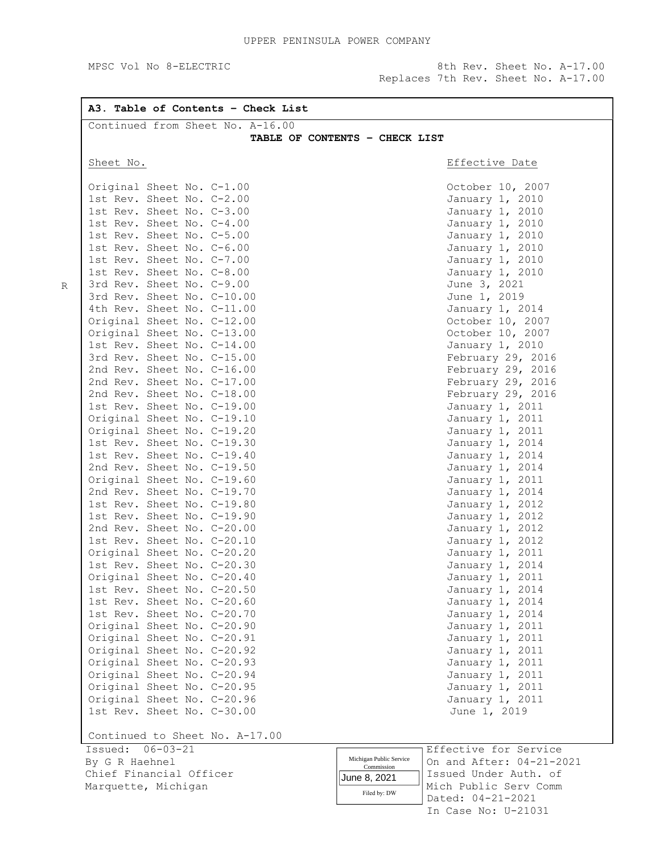MPSC Vol No 8-ELECTRIC 3th Rev. Sheet No. A-17.00 Replaces 7th Rev. Sheet No. A-17.00

> Dated: 04-21-2021 In Case No: U-21031

Filed by: DW

| Continued from Sheet No. A-16.00                         |                                                     |
|----------------------------------------------------------|-----------------------------------------------------|
|                                                          | TABLE OF CONTENTS - CHECK LIST                      |
| Sheet No.                                                | Effective Date                                      |
| Original Sheet No. C-1.00                                | October 10, 2007                                    |
| 1st Rev. Sheet No. C-2.00                                | January 1, 2010                                     |
| 1st Rev. Sheet No. C-3.00                                | January 1, 2010                                     |
| 1st Rev. Sheet No. C-4.00                                | January 1, 2010                                     |
| 1st Rev. Sheet No. C-5.00                                | January 1, 2010                                     |
| 1st Rev. Sheet No. C-6.00                                | January 1, 2010                                     |
| 1st Rev. Sheet No. C-7.00                                | January 1, 2010                                     |
| 1st Rev. Sheet No. C-8.00                                | January 1, 2010                                     |
| 3rd Rev. Sheet No. C-9.00                                | June 3, 2021                                        |
| 3rd Rev. Sheet No. C-10.00                               | June 1, 2019                                        |
| 4th Rev. Sheet No. C-11.00                               | January 1, 2014                                     |
| Original Sheet No. C-12.00                               | October 10, 2007                                    |
| Original Sheet No. C-13.00                               | October 10, 2007                                    |
| 1st Rev. Sheet No. C-14.00                               | January 1, 2010                                     |
| 3rd Rev. Sheet No. C-15.00                               | February 29, 2016                                   |
| 2nd Rev. Sheet No. C-16.00                               | February 29, 2016                                   |
| 2nd Rev. Sheet No. C-17.00                               | February 29, 2016                                   |
| 2nd Rev. Sheet No. C-18.00                               | February 29, 2016                                   |
| 1st Rev. Sheet No. C-19.00                               | January 1, 2011                                     |
| Original Sheet No. C-19.10                               | January 1, 2011                                     |
| Original Sheet No. C-19.20                               | January 1, 2011                                     |
| 1st Rev. Sheet No. C-19.30                               | January 1, 2014                                     |
| 1st Rev. Sheet No. C-19.40                               | January 1, 2014                                     |
| 2nd Rev. Sheet No. C-19.50                               | January 1, 2014                                     |
| Original Sheet No. C-19.60                               | January 1, 2011                                     |
| 2nd Rev. Sheet No. C-19.70                               | January 1, 2014                                     |
| 1st Rev. Sheet No. C-19.80                               | January 1, 2012                                     |
| 1st Rev. Sheet No. C-19.90                               | January 1, 2012                                     |
| 2nd Rev. Sheet No. C-20.00                               | January 1, 2012                                     |
| 1st Rev. Sheet No. C-20.10                               | January 1, 2012                                     |
| Original Sheet No. C-20.20                               | January 1, 2011                                     |
| 1st Rev. Sheet No. C-20.30                               | January 1, 2014                                     |
| Original Sheet No. C-20.40                               | January 1, 2011                                     |
| 1st Rev. Sheet No. C-20.50                               | January 1, 2014                                     |
| 1st Rev. Sheet No. C-20.60                               | January 1, 2014                                     |
| 1st Rev. Sheet No. C-20.70                               | January 1, 2014                                     |
| Original Sheet No. C-20.90                               | January 1, 2011                                     |
| Original Sheet No. C-20.91                               | January 1, 2011                                     |
| Original Sheet No. C-20.92                               | January 1, 2011                                     |
| Original Sheet No. C-20.93<br>Original Sheet No. C-20.94 | January 1, 2011<br>January 1, 2011                  |
| Original Sheet No. C-20.95                               | January 1, 2011                                     |
| Original Sheet No. C-20.96                               | January 1, 2011                                     |
| 1st Rev. Sheet No. C-30.00                               | June 1, 2019                                        |
| Continued to Sheet No. A-17.00                           |                                                     |
| Issued: 06-03-21                                         | Effective for Service                               |
| By G R Haehnel                                           | Michigan Public Service<br>On and After: 04-21-2021 |
| Chief Financial Officer                                  | Commission                                          |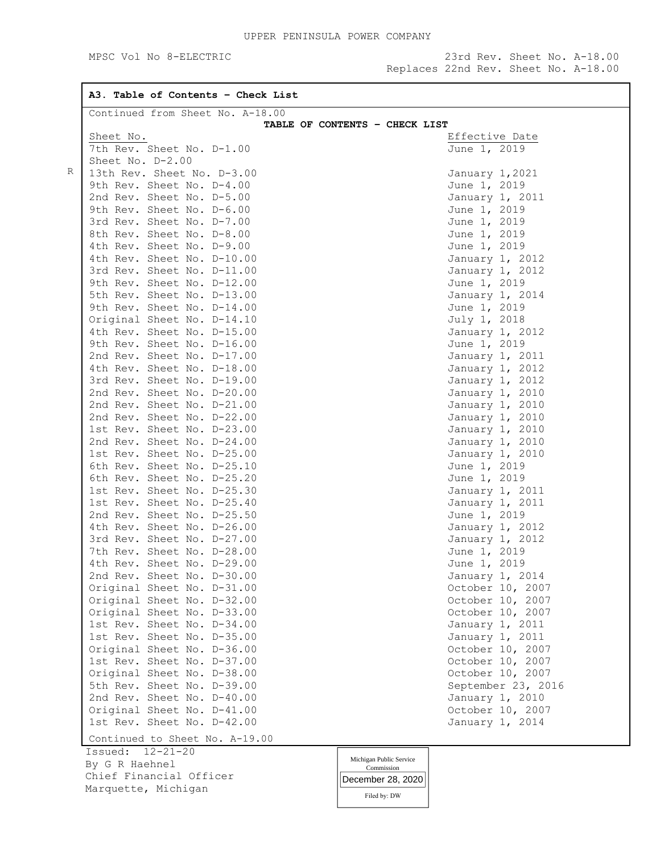MPSC Vol No 8-ELECTRIC 23rd Rev. Sheet No. A-18.00 Replaces 22nd Rev. Sheet No. A-18.00

**A3. Table of Contents – Check List** R Continued from Sheet No. A-18.00 **TABLE OF CONTENTS – CHECK LIST** Sheet No. 2008 2012 12:30 Sheet No. 2012 12:30 Sheet No. 2013 7th Rev. Sheet No. D-1.00 June 1, 2019 Sheet No. D-2.00 13th Rev. Sheet No. D-3.00 January 1,2021 9th Rev. Sheet No. D-4.00 June 1, 2019 2nd Rev. Sheet No. D-5.00 January 1, 2011 9th Rev. Sheet No. D-6.00 June 1, 2019 3rd Rev. Sheet No. D-7.00 June 1, 2019 8th Rev. Sheet No. D-8.00 June 1, 2019 4th Rev. Sheet No. D-9.00 June 1, 2019 4th Rev. Sheet No. D-10.00 January 1, 2012 3rd Rev. Sheet No. D-11.00 January 1, 2012 9th Rev. Sheet No. D-12.00 June 1, 2019 5th Rev. Sheet No. D-13.00 January 1, 2014 9th Rev. Sheet No. D-14.00 June 1, 2019 Original Sheet No. D-14.10 July 1, 2018 4th Rev. Sheet No. D-15.00 January 1, 2012 9th Rev. Sheet No. D-16.00 June 1, 2019 2nd Rev. Sheet No. D-17.00 January 1, 2011 4th Rev. Sheet No. D-18.00 January 1, 2012 3rd Rev. Sheet No. D-19.00 January 1, 2012 2nd Rev. Sheet No. D-20.00 January 1, 2010 2nd Rev. Sheet No. D-21.00 January 1, 2010 2nd Rev. Sheet No. D-22.00 January 1, 2010 1st Rev. Sheet No. D-23.00 January 1, 2010 2nd Rev. Sheet No. D-24.00 3anuary 1, 2010 1st Rev. Sheet No. D-25.00 January 1, 2010 6th Rev. Sheet No. D-25.10 June 1, 2019 6th Rev. Sheet No. D-25.20 June 1, 2019 1st Rev. Sheet No. D-25.30 January 1, 2011 1st Rev. Sheet No. D-25.40 January 1, 2011 2nd Rev. Sheet No. D-25.50 June 1, 2019 4th Rev. Sheet No. D-26.00 January 1, 2012 3rd Rev. Sheet No. D-27.00 January 1, 2012 7th Rev. Sheet No. D-28.00 June 1, 2019 4th Rev. Sheet No. D-29.00 June 1, 2019 2nd Rev. Sheet No. D-30.00 January 1, 2014 Original Sheet No. D-31.00 October 10, 2007 Original Sheet No. D-32.00 October 10, 2007 Original Sheet No. D-33.00 October 10, 2007 1st Rev. Sheet No. D-34.00 January 1, 2011 1st Rev. Sheet No. D-35.00 January 1, 2011 Original Sheet No. D-36.00 October 10, 2007 1st Rev. Sheet No. D-37.00 October 10, 2007 Original Sheet No. D-38.00 October 10, 2007 5th Rev. Sheet No. D-39.00 September 23, 2016 2nd Rev. Sheet No. D-40.00 1anuary 1, 2010 Original Sheet No. D-41.00 October 10, 2007 1st Rev. Sheet No. D-42.00 January 1, 2014 Continued to Sheet No. A-19.00 Issued: 12-21-20 By G R Haehnel Chief Financial Officer Marquette, Michigan Michigan Public Service Commission December 28, 2020

Filed by: DW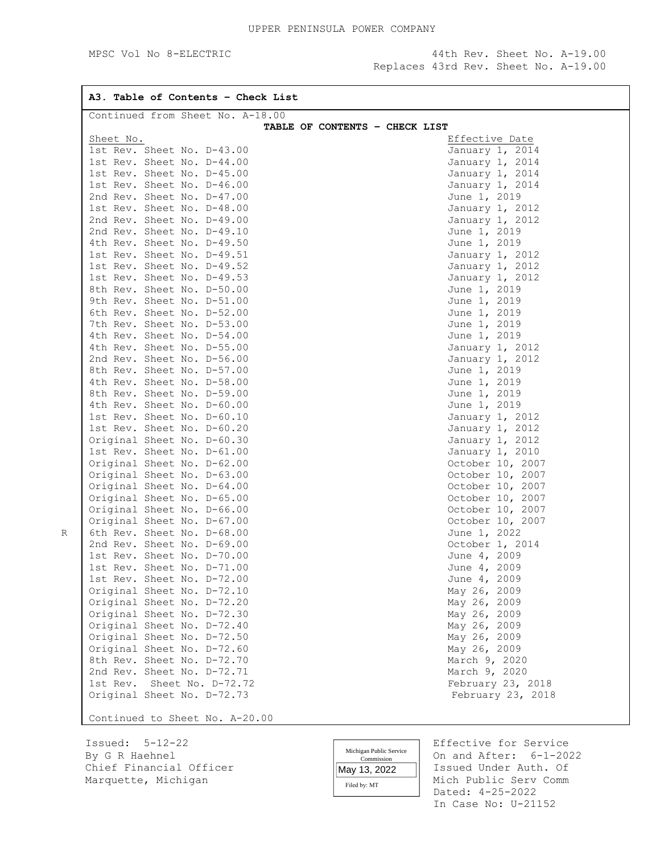MPSC Vol No 8-ELECTRIC 44th Rev. Sheet No. A-19.00 Replaces 43rd Rev. Sheet No. A-19.00

| A3. Table of Contents - Check List                       |                                                   |
|----------------------------------------------------------|---------------------------------------------------|
| Continued from Sheet No. A-18.00                         | TABLE OF CONTENTS - CHECK LIST                    |
| Sheet No.                                                | Effective Date                                    |
| 1st Rev. Sheet No. D-43.00                               | January 1, 2014                                   |
| 1st Rev. Sheet No. D-44.00                               | January 1, 2014                                   |
| 1st Rev. Sheet No. D-45.00                               | January 1, 2014                                   |
| 1st Rev. Sheet No. D-46.00                               | January 1, 2014                                   |
| 2nd Rev. Sheet No. D-47.00                               | June 1, 2019                                      |
| 1st Rev. Sheet No. D-48.00                               | January 1, 2012                                   |
| 2nd Rev. Sheet No. D-49.00                               | January 1, 2012                                   |
| 2nd Rev. Sheet No. D-49.10                               | June 1, 2019                                      |
| 4th Rev. Sheet No. D-49.50                               | June 1, 2019                                      |
| 1st Rev. Sheet No. D-49.51                               | January 1, 2012                                   |
| 1st Rev. Sheet No. D-49.52                               | January 1, 2012                                   |
| 1st Rev. Sheet No. D-49.53                               | January 1, 2012                                   |
| 8th Rev. Sheet No. D-50.00                               | June 1, 2019                                      |
| 9th Rev. Sheet No. D-51.00                               | June 1, 2019                                      |
| 6th Rev. Sheet No. D-52.00                               | June 1, 2019                                      |
| 7th Rev. Sheet No. D-53.00                               | June 1, 2019                                      |
| 4th Rev. Sheet No. D-54.00                               | June 1, 2019                                      |
| 4th Rev. Sheet No. D-55.00                               | January 1, 2012                                   |
| 2nd Rev. Sheet No. D-56.00                               |                                                   |
|                                                          | January 1, 2012                                   |
| 8th Rev. Sheet No. D-57.00                               | June 1, 2019                                      |
| 4th Rev. Sheet No. D-58.00<br>8th Rev. Sheet No. D-59.00 | June 1, 2019                                      |
|                                                          | June 1, 2019                                      |
| 4th Rev. Sheet No. D-60.00                               | June 1, 2019                                      |
| 1st Rev. Sheet No. D-60.10                               | January 1, 2012                                   |
| 1st Rev. Sheet No. D-60.20                               | January 1, 2012                                   |
| Original Sheet No. D-60.30                               | January 1, 2012                                   |
| 1st Rev. Sheet No. D-61.00                               | January 1, 2010                                   |
| Original Sheet No. D-62.00                               | October 10, 2007                                  |
| Original Sheet No. D-63.00                               | October 10, 2007                                  |
| Original Sheet No. D-64.00                               | October 10, 2007                                  |
| Original Sheet No. D-65.00                               | October 10, 2007                                  |
| Original Sheet No. D-66.00                               | October 10, 2007                                  |
| Original Sheet No. D-67.00                               | October 10, 2007                                  |
| 6th Rev. Sheet No. D-68.00                               | June 1, 2022                                      |
| 2nd Rev. Sheet No. D-69.00                               | October 1, 2014                                   |
| 1st Rev. Sheet No. D-70.00                               | June 4, 2009                                      |
| 1st Rev. Sheet No. D-71.00                               | June 4, 2009                                      |
| 1st Rev. Sheet No. D-72.00                               | June 4, 2009                                      |
| Original Sheet No. D-72.10                               | May 26, 2009                                      |
| Original Sheet No. D-72.20                               | May 26, 2009                                      |
| Original Sheet No. D-72.30                               | May 26, 2009                                      |
| Original Sheet No. D-72.40                               | May 26, 2009                                      |
| Original Sheet No. D-72.50                               | May 26, 2009                                      |
| Original Sheet No. D-72.60                               | May 26, 2009                                      |
| 8th Rev. Sheet No. D-72.70                               | March 9, 2020                                     |
| 2nd Rev. Sheet No. D-72.71                               | March 9, 2020                                     |
| 1st Rev. Sheet No. D-72.72                               | February 23, 2018                                 |
| Original Sheet No. D-72.73                               | February 23, 2018                                 |
|                                                          |                                                   |
| Continued to Sheet No. A-20.00                           |                                                   |
| Issued: $5-12-22$                                        | Effective for Service                             |
| By G R Haehnel                                           | Michigan Public Service<br>On and After: 6-1-2022 |
|                                                          | Commission                                        |

R

Commission Filed by: MT May 13, 2022

Chief Financial Officer May 13, 2022 Stated Under Auth. Of Marquette, Michigan Issued Under Auth. Of Mich Public Serv Comm Dated: 4-25-2022 In Case No: U-21152